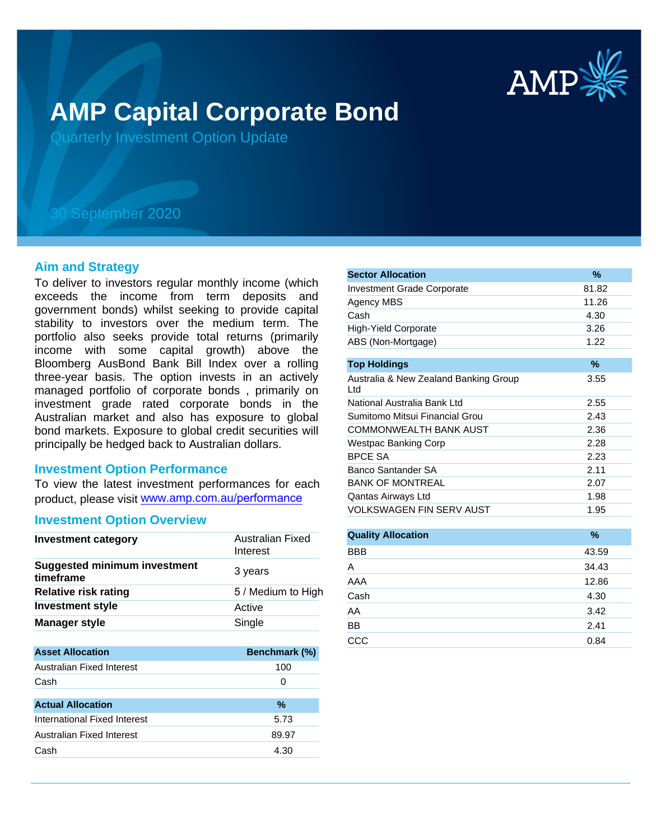

# **AMP Capital Corporate Bond**

Quarterly Investment Option Update

# 30 September 2020

#### **Aim and Strategy**

To deliver to investors regular monthly income (which exceeds the income from term deposits and government bonds) whilst seeking to provide capital stability to investors over the medium term. The portfolio also seeks provide total returns (primarily income with some capital growth) above the Bloomberg AusBond Bank Bill Index over a rolling three-year basis. The option invests in an actively managed portfolio of corporate bonds , primarily on investment grade rated corporate bonds in the Australian market and also has exposure to global bond markets. Exposure to global credit securities will principally be hedged back to Australian dollars.

#### **Investment Option Performance**

To view the latest investment performances for each product, please visit www.amp.com.au/performance

#### **Investment Option Overview**

| <b>Investment category</b>                       | Australian Fixed<br>Interest |
|--------------------------------------------------|------------------------------|
| <b>Suggested minimum investment</b><br>timeframe | 3 years                      |
| <b>Relative risk rating</b>                      | 5 / Medium to High           |
| <b>Investment style</b>                          | Active                       |
| <b>Manager style</b>                             | Single                       |
| <b>Asset Allocation</b>                          | Benchmark (%)                |
| Australian Fixed Interest                        | 100                          |
| Cash                                             | 0                            |
| <b>Actual Allocation</b>                         | $\%$                         |
| International Fixed Interest                     | 5.73                         |
| Australian Fixed Interest                        | 89.97                        |
| Cash                                             | 4.30                         |
|                                                  |                              |

| <b>Sector Allocation</b>                      | $\%$  |
|-----------------------------------------------|-------|
| <b>Investment Grade Corporate</b>             | 81.82 |
| Agency MBS                                    | 11.26 |
| Cash                                          | 4.30  |
| <b>High-Yield Corporate</b>                   | 3.26  |
| ABS (Non-Mortgage)                            | 1.22  |
|                                               |       |
| <b>Top Holdings</b>                           | $\%$  |
| Australia & New Zealand Banking Group<br>Ltd. | 3.55  |
| National Australia Bank Ltd                   | 2.55  |
| Sumitomo Mitsui Financial Grou                | 2.43  |
| <b>COMMONWEALTH BANK AUST</b>                 | 2.36  |
| Westpac Banking Corp                          | 2.28  |
| <b>BPCE SA</b>                                | 2.23  |
| Banco Santander SA                            | 2.11  |
| <b>BANK OF MONTREAL</b>                       | 2.07  |
| Qantas Airways Ltd                            | 1.98  |
| VOLKSWAGEN FIN SERV AUST                      | 1.95  |

| <b>Quality Allocation</b> | $\%$  |
|---------------------------|-------|
| <b>BBB</b>                | 43.59 |
| A                         | 34.43 |
| AAA                       | 12.86 |
| Cash                      | 4.30  |
| AA                        | 3.42  |
| <b>BB</b>                 | 2.41  |
| CCC                       | 0.84  |
|                           |       |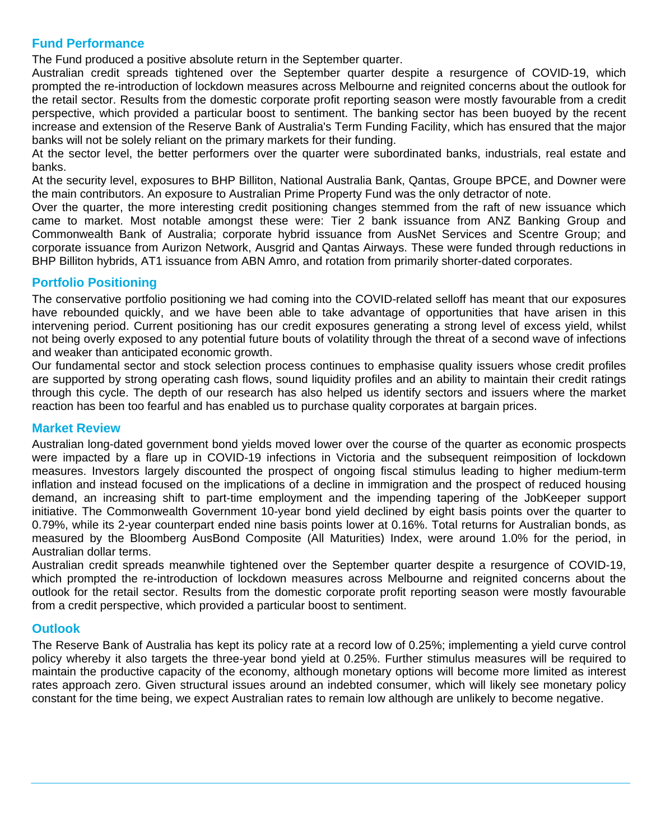# **Fund Performance**

The Fund produced a positive absolute return in the September quarter.

Australian credit spreads tightened over the September quarter despite a resurgence of COVID-19, which prompted the re-introduction of lockdown measures across Melbourne and reignited concerns about the outlook for the retail sector. Results from the domestic corporate profit reporting season were mostly favourable from a credit perspective, which provided a particular boost to sentiment. The banking sector has been buoyed by the recent increase and extension of the Reserve Bank of Australia's Term Funding Facility, which has ensured that the major banks will not be solely reliant on the primary markets for their funding.

At the sector level, the better performers over the quarter were subordinated banks, industrials, real estate and banks.

At the security level, exposures to BHP Billiton, National Australia Bank, Qantas, Groupe BPCE, and Downer were the main contributors. An exposure to Australian Prime Property Fund was the only detractor of note.

Over the quarter, the more interesting credit positioning changes stemmed from the raft of new issuance which came to market. Most notable amongst these were: Tier 2 bank issuance from ANZ Banking Group and Commonwealth Bank of Australia; corporate hybrid issuance from AusNet Services and Scentre Group; and corporate issuance from Aurizon Network, Ausgrid and Qantas Airways. These were funded through reductions in BHP Billiton hybrids, AT1 issuance from ABN Amro, and rotation from primarily shorter-dated corporates.

# **Portfolio Positioning**

The conservative portfolio positioning we had coming into the COVID-related selloff has meant that our exposures have rebounded quickly, and we have been able to take advantage of opportunities that have arisen in this intervening period. Current positioning has our credit exposures generating a strong level of excess yield, whilst not being overly exposed to any potential future bouts of volatility through the threat of a second wave of infections and weaker than anticipated economic growth.

Our fundamental sector and stock selection process continues to emphasise quality issuers whose credit profiles are supported by strong operating cash flows, sound liquidity profiles and an ability to maintain their credit ratings through this cycle. The depth of our research has also helped us identify sectors and issuers where the market reaction has been too fearful and has enabled us to purchase quality corporates at bargain prices.

# **Market Review**

Australian long-dated government bond yields moved lower over the course of the quarter as economic prospects were impacted by a flare up in COVID-19 infections in Victoria and the subsequent reimposition of lockdown measures. Investors largely discounted the prospect of ongoing fiscal stimulus leading to higher medium-term inflation and instead focused on the implications of a decline in immigration and the prospect of reduced housing demand, an increasing shift to part-time employment and the impending tapering of the JobKeeper support initiative. The Commonwealth Government 10-year bond yield declined by eight basis points over the quarter to 0.79%, while its 2-year counterpart ended nine basis points lower at 0.16%. Total returns for Australian bonds, as measured by the Bloomberg AusBond Composite (All Maturities) Index, were around 1.0% for the period, in Australian dollar terms.

Australian credit spreads meanwhile tightened over the September quarter despite a resurgence of COVID-19, which prompted the re-introduction of lockdown measures across Melbourne and reignited concerns about the outlook for the retail sector. Results from the domestic corporate profit reporting season were mostly favourable from a credit perspective, which provided a particular boost to sentiment.

# **Outlook**

The Reserve Bank of Australia has kept its policy rate at a record low of 0.25%; implementing a yield curve control policy whereby it also targets the three-year bond yield at 0.25%. Further stimulus measures will be required to maintain the productive capacity of the economy, although monetary options will become more limited as interest rates approach zero. Given structural issues around an indebted consumer, which will likely see monetary policy constant for the time being, we expect Australian rates to remain low although are unlikely to become negative.